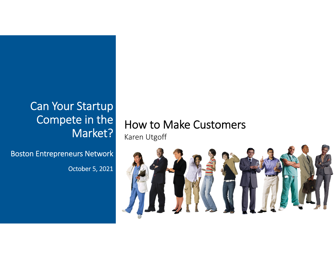## Can Your Startup Compete in the Market?

Boston Entrepreneurs Network

October 5, 2021

### How to Make Customers Karen Utgoff

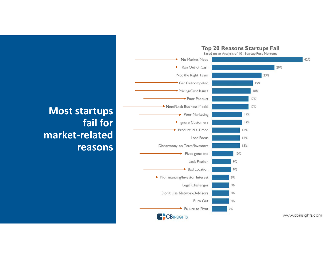

**Most startups fail for market‐related reasons**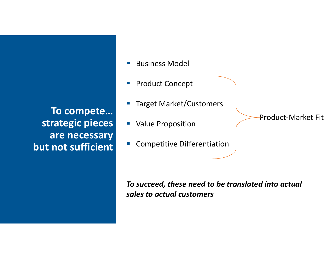**To compete… strategic pieces are necessary but not sufficient**

- $\mathbb{R}^n$ Business Model
- $\overline{\phantom{a}}$ Product Concept
- F Target Market/Customers
- **Value Proposition**
- $\mathcal{L}_{\mathcal{A}}$ Competitive Differentiation

*To succeed, these need to be translated into actual sales to actual customers*

Product‐Market Fit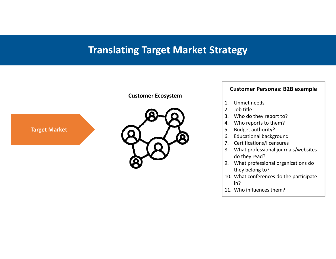### **Translating Target Market Strategy**



#### **Customer Personas: B2B example**

- 1. Unmet needs
- 2. Job title
- 3. Who do they report to?
- 4. Who reports to them?
- 5. Budget authority?
- 6. Educational background
- 7. Certifications/licensures
- 8. What professional journals/websites do they read?
- 9. What professional organizations do they belong to?
- 10. What conferences do the participate in?
- 11. Who influences them?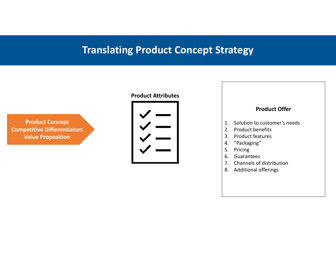### **Translating Product Concept Strategy**

**Product Concept Competitive Differentiators Value Proposition**

#### **Product Attributes**



#### **Product Offer**

- 1. Solution to customer's needs
- 2. Product benefits
- 3. Product features
- 4. "Packaging"
- 5. Pricing
- 6. Guarantees
- 7. Channels of distribution
- 8. Additional offerings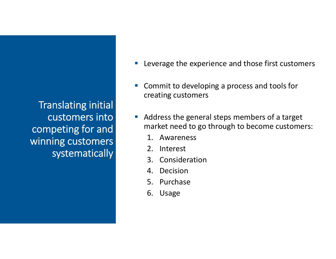Translating initial customers into competing for and winning customers systematically

- Leverage the experience and those first customers
- **Service Service E** Commit to developing a process and tools for creating customers
- Address the general steps members of a target market need to go through to become customers:
	- 1. Awareness
	- 2. Interest
	- 3. Consideration
	- 4. Decision
	- 5. Purchase
	- 6. Usage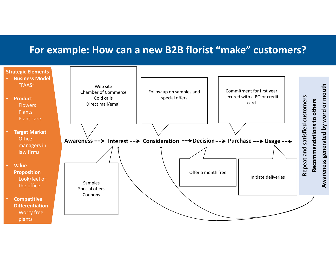### **For example: How can <sup>a</sup> new B2B florist "make" customers?**